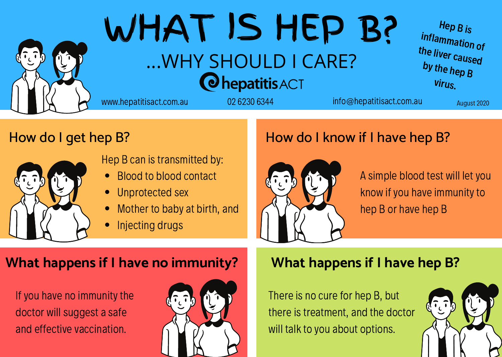

# WHAT IS HEP B? ...WHY SHOULD I CARE? **O**hepatitis ACT

Hep <sup>B</sup> is inflammation of the liver caused by the hep <sup>B</sup> virus.

www.hepatitisact.com.au 02 6230 6344 info@hepatitisact.com.au August 2020

## How do I get hep B?



Hep B can is transmitted by:

- Blood to blood contact
- Unprotected sex
- Mother to baby at birth, and
- Injecting drugs

## How do I know if I have hep B?



A simple blood test will letyou know if you have immunity to hep B or have hep B

### **What happens if I have no immunity? What happens if I have hep B?**

If you have no immunity the doctor will suggest a safe and effective vaccination.



There is no cure for hep B, but there is treatment, and the doctor will talk to you about options.